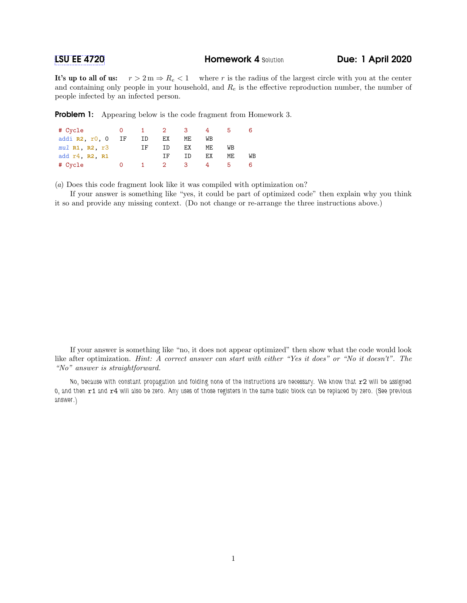## **[LSU EE 4720](https://www.ece.lsu.edu/ee4720/) Homework 4 Solution Due: 1 April 2020**

It's up to all of us:  $r > 2 m \Rightarrow R_e < 1$  where r is the radius of the largest circle with you at the center and containing only people in your household, and  $R_e$  is the effective reproduction number, the number of people infected by an infected person.

**Problem 1:** Appearing below is the code fragment from Homework 3.

| # Cycle            |    | $\mathbf{1}$ | $\sim$ 2 | $\sim$ 3 |     |     |    |
|--------------------|----|--------------|----------|----------|-----|-----|----|
| addi $R2, r0, 0$   | ΙF | ID           | ЕX       | ME       | WB  |     |    |
| $mul$ R1, R2, $r3$ |    | TF           | TD       | ЕX       | MF. | WB  |    |
| add r4, R2, R1     |    |              | TF       | TD       | ЕX  | MF. | WB |
| # Cycle            |    |              | - 2 -    | з        |     |     |    |

(a) Does this code fragment look like it was compiled with optimization on?

If your answer is something like "yes, it could be part of optimized code" then explain why you think it so and provide any missing context. (Do not change or re-arrange the three instructions above.)

If your answer is something like "no, it does not appear optimized" then show what the code would look like after optimization. Hint: A correct answer can start with either "Yes it does" or "No it doesn't". The "No" answer is straightforward.

No, because with constant propagation and folding none of the instructions are necessary. We know that r2 will be assigned 0, and then r1 and r4 will also be zero. Any uses of those registers in the same basic block can be replaced by zero. (See previous answer.)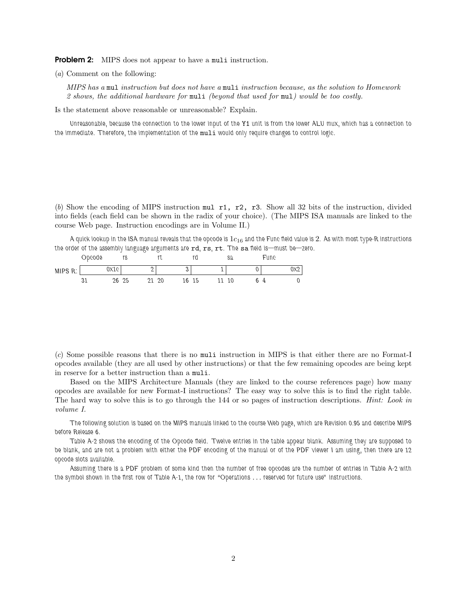**Problem 2:** MIPS does not appear to have a multi instruction.

(a) Comment on the following:

MIPS has a mul instruction but does not have a muli instruction because, as the solution to Homework 2 shows, the additional hardware for muli (beyond that used for mul) would be too costly.

Is the statement above reasonable or unreasonable? Explain.

Unreasonable, because the connection to the lower input of the Y1 unit is from the lower ALU mux, which has a connection to the immediate. Therefore, the implementation of the muli would only require changes to control logic.

(b) Show the encoding of MIPS instruction mul r1, r2, r3. Show all 32 bits of the instruction, divided into fields (each field can be shown in the radix of your choice). (The MIPS ISA manuals are linked to the course Web page. Instruction encodings are in Volume II.)

A quick lookup in the ISA manual reveals that the opcode is  $1c_{16}$  and the Func field value is 2. As with most type-R instructions the order of the assembly language arguments are rd, rs, rt. The sa field is—must be—zero.

|         | Obcode |       | r٥<br>ι٥ |   | v  |    |    | sa | Func |     |
|---------|--------|-------|----------|---|----|----|----|----|------|-----|
| MIPS R: |        | 0x1c  |          | ∸ |    |    |    |    |      | 0x2 |
|         | ັ      | 26 25 |          |   | 20 | 16 | 15 | 10 | Д    |     |

(c) Some possible reasons that there is no muli instruction in MIPS is that either there are no Format-I opcodes available (they are all used by other instructions) or that the few remaining opcodes are being kept in reserve for a better instruction than a muli.

Based on the MIPS Architecture Manuals (they are linked to the course references page) how many opcodes are available for new Format-I instructions? The easy way to solve this is to find the right table. The hard way to solve this is to go through the 144 or so pages of instruction descriptions. *Hint: Look in* volume I.

The following solution is based on the MIPS manuals linked to the course Web page, which are Revision 0.95 and describe MIPS before Release 6.

Table A-2 shows the encoding of the Opcode field. Twelve entries in the table appear blank. Assuming they are supposed to be blank, and are not a problem with either the PDF encoding of the manual or of the PDF viewer I am using, then there are 12 opcode slots available.

Assuming there is a PDF problem of some kind then the number of free opcodes are the number of entries in Table A-2 with the symbol shown in the first row of Table A-1, the row for "Operations . . . reserved for future use" instructions.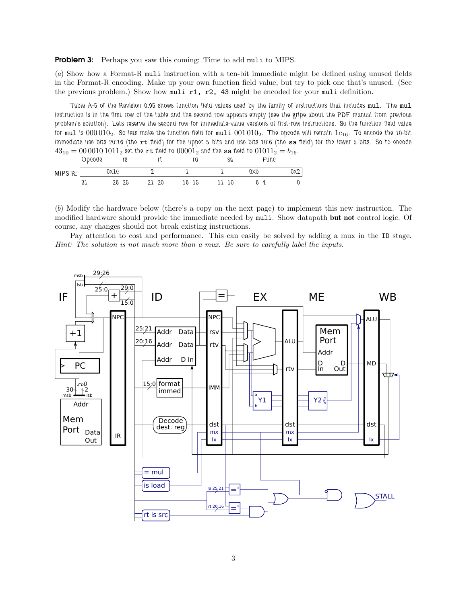**Problem 3:** Perhaps you saw this coming: Time to add muli to MIPS.

(a) Show how a Format-R muli instruction with a ten-bit immediate might be defined using unused fields in the Format-R encoding. Make up your own function field value, but try to pick one that's unused. (See the previous problem.) Show how muli r1, r2, 43 might be encoded for your muli definition.

Table A-5 of the Revision 0.95 shows function field values used by the family of instructions that includes mul. The mul instruction is in the first row of the table and the second row appears empty (see the gripe about the PDF manual from previous problem's solution). Lets reserve the second row for immediate-value versions of first-row instructions. So the function field value for mul is  $000010_2$ . So lets make the function field for muli  $001010_2$ . The opcode will remain  $1c_{16}$ . To encode the 10-bit immediate use bits 20:16 (the rt field) for the upper 5 bits and use bits 10:6 (the sa field) for the lower 5 bits. So to encode  $43_{10}=00\,0010\,1011_2$  set the  ${\tt rt}$  field to  $00001_2$  and the  ${\tt sa}$  field to  $01011_2=b_{16}.$ 

|         | opoode |      | ט ו |   | v  |    |    | sa |     | Fune |     |
|---------|--------|------|-----|---|----|----|----|----|-----|------|-----|
| MIPS R: |        | 0x1c |     | ∸ |    |    |    |    | 0XD |      | 0x2 |
|         | ັ      | 26   | 25  |   | 20 | 16 | 15 | 10 |     | 4    |     |

Opcode

(b) Modify the hardware below (there's a copy on the next page) to implement this new instruction. The modified hardware should provide the immediate needed by muli. Show datapath but not control logic. Of course, any changes should not break existing instructions.

Pay attention to cost and performance. This can easily be solved by adding a mux in the ID stage. Hint: The solution is not much more than a mux. Be sure to carefully label the inputs.